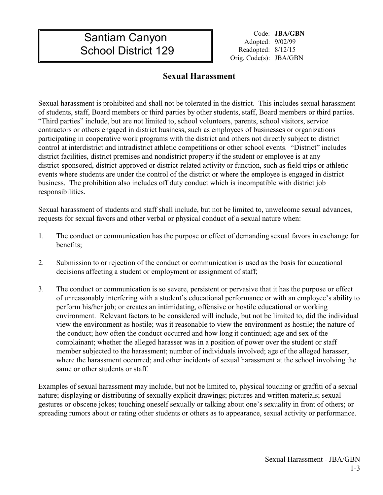## **Santiam Canyon** Code: **JBA/GBN** Code: **JBA/GBN** School District 129 Readopted: 8/12/15

II II

Orig. Code(s): JBA/GBN

## **Sexual Harassment**

Sexual harassment is prohibited and shall not be tolerated in the district. This includes sexual harassment of students, staff, Board members or third parties by other students, staff, Board members or third parties. "Third parties" include, but are not limited to, school volunteers, parents, school visitors, service contractors or others engaged in district business, such as employees of businesses or organizations participating in cooperative work programs with the district and others not directly subject to district control at interdistrict and intradistrict athletic competitions or other school events. "District" includes district facilities, district premises and nondistrict property if the student or employee is at any district-sponsored, district-approved or district-related activity or function, such as field trips or athletic events where students are under the control of the district or where the employee is engaged in district business. The prohibition also includes off duty conduct which is incompatible with district job responsibilities.

Sexual harassment of students and staff shall include, but not be limited to, unwelcome sexual advances, requests for sexual favors and other verbal or physical conduct of a sexual nature when:

- 1. The conduct or communication has the purpose or effect of demanding sexual favors in exchange for benefits;
- 2. Submission to or rejection of the conduct or communication is used as the basis for educational decisions affecting a student or employment or assignment of staff;
- 3. The conduct or communication is so severe, persistent or pervasive that it has the purpose or effect of unreasonably interfering with a student's educational performance or with an employee's ability to perform his/her job; or creates an intimidating, offensive or hostile educational or working environment. Relevant factors to be considered will include, but not be limited to, did the individual view the environment as hostile; was it reasonable to view the environment as hostile; the nature of the conduct; how often the conduct occurred and how long it continued; age and sex of the complainant; whether the alleged harasser was in a position of power over the student or staff member subjected to the harassment; number of individuals involved; age of the alleged harasser; where the harassment occurred; and other incidents of sexual harassment at the school involving the same or other students or staff.

Examples of sexual harassment may include, but not be limited to, physical touching or graffiti of a sexual nature; displaying or distributing of sexually explicit drawings; pictures and written materials; sexual gestures or obscene jokes; touching oneself sexually or talking about one's sexuality in front of others; or spreading rumors about or rating other students or others as to appearance, sexual activity or performance.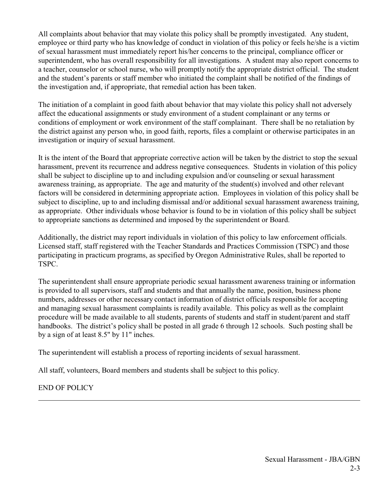All complaints about behavior that may violate this policy shall be promptly investigated. Any student, employee or third party who has knowledge of conduct in violation of this policy or feels he/she is a victim of sexual harassment must immediately report his/her concerns to the principal, compliance officer or superintendent, who has overall responsibility for all investigations. A student may also report concerns to a teacher, counselor or school nurse, who will promptly notify the appropriate district official. The student and the student's parents or staff member who initiated the complaint shall be notified of the findings of the investigation and, if appropriate, that remedial action has been taken.

The initiation of a complaint in good faith about behavior that may violate this policy shall not adversely affect the educational assignments or study environment of a student complainant or any terms or conditions of employment or work environment of the staff complainant. There shall be no retaliation by the district against any person who, in good faith, reports, files a complaint or otherwise participates in an investigation or inquiry of sexual harassment.

It is the intent of the Board that appropriate corrective action will be taken by the district to stop the sexual harassment, prevent its recurrence and address negative consequences. Students in violation of this policy shall be subject to discipline up to and including expulsion and/or counseling or sexual harassment awareness training, as appropriate. The age and maturity of the student(s) involved and other relevant factors will be considered in determining appropriate action. Employees in violation of this policy shall be subject to discipline, up to and including dismissal and/or additional sexual harassment awareness training, as appropriate. Other individuals whose behavior is found to be in violation of this policy shall be subject to appropriate sanctions as determined and imposed by the superintendent or Board.

Additionally, the district may report individuals in violation of this policy to law enforcement officials. Licensed staff, staff registered with the Teacher Standards and Practices Commission (TSPC) and those participating in practicum programs, as specified by Oregon Administrative Rules, shall be reported to TSPC.

The superintendent shall ensure appropriate periodic sexual harassment awareness training or information is provided to all supervisors, staff and students and that annually the name, position, business phone numbers, addresses or other necessary contact information of district officials responsible for accepting and managing sexual harassment complaints is readily available. This policy as well as the complaint procedure will be made available to all students, parents of students and staff in student/parent and staff handbooks. The district's policy shall be posted in all grade 6 through 12 schools. Such posting shall be by a sign of at least 8.5" by 11" inches.

The superintendent will establish a process of reporting incidents of sexual harassment.

All staff, volunteers, Board members and students shall be subject to this policy.

END OF POLICY